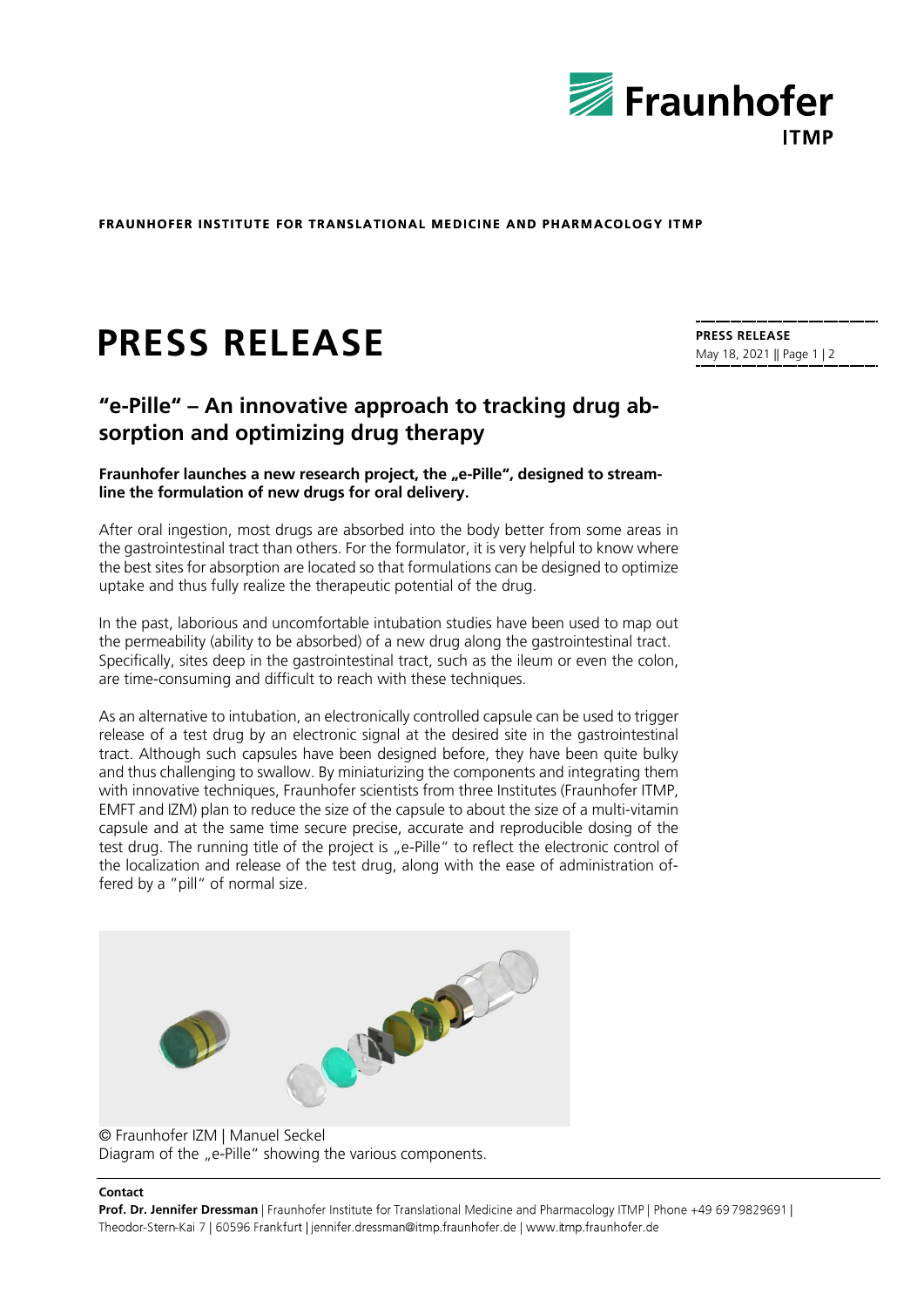

**FRAUNHOFER INSTITUTE FOR TRANSLATIONAL MEDICINE AND PHARMACOLOGY ITMP** 

# **PRESS RELEASE**

# **"e-Pille" – An innovative approach to tracking drug absorption and optimizing drug therapy**

## Fraunhofer launches a new research project, the "e-Pille", designed to stream**line the formulation of new drugs for oral delivery.**

After oral ingestion, most drugs are absorbed into the body better from some areas in the gastrointestinal tract than others. For the formulator, it is very helpful to know where the best sites for absorption are located so that formulations can be designed to optimize uptake and thus fully realize the therapeutic potential of the drug.

In the past, laborious and uncomfortable intubation studies have been used to map out the permeability (ability to be absorbed) of a new drug along the gastrointestinal tract. Specifically, sites deep in the gastrointestinal tract, such as the ileum or even the colon, are time-consuming and difficult to reach with these techniques.

As an alternative to intubation, an electronically controlled capsule can be used to trigger release of a test drug by an electronic signal at the desired site in the gastrointestinal tract. Although such capsules have been designed before, they have been quite bulky and thus challenging to swallow. By miniaturizing the components and integrating them with innovative techniques, Fraunhofer scientists from three Institutes (Fraunhofer ITMP, EMFT and IZM) plan to reduce the size of the capsule to about the size of a multi-vitamin capsule and at the same time secure precise, accurate and reproducible dosing of the test drug. The running title of the project is "e-Pille" to reflect the electronic control of the localization and release of the test drug, along with the ease of administration offered by a "pill" of normal size.



# © Fraunhofer IZM | Manuel Seckel Diagram of the "e-Pille" showing the various components.

#### **Contact**

Prof. Dr. Jennifer Dressman | Fraunhofer Institute for Translational Medicine and Pharmacology ITMP | Phone +49 69 79829691 | Theodor-Stern-Kai 7 | 60596 Frankfurt | jennifer.dressman@itmp.fraunhofer.de | www.itmp.fraunhofer.de

**PRESS RELEASE** May 18, 2021 || Page 1 | 2